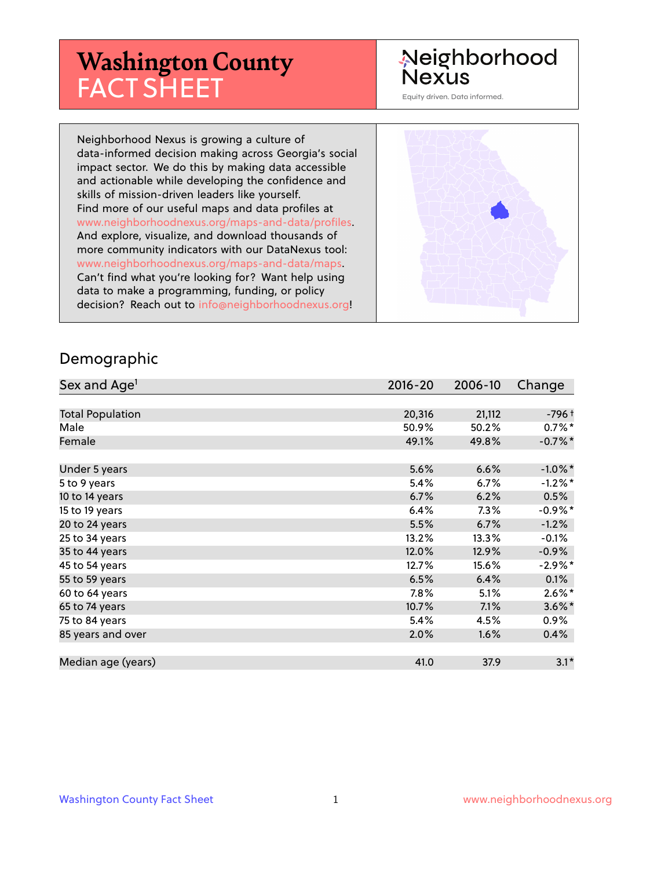# **Washington County** FACT SHEET

# Neighborhood **Nexus**

Equity driven. Data informed.

Neighborhood Nexus is growing a culture of data-informed decision making across Georgia's social impact sector. We do this by making data accessible and actionable while developing the confidence and skills of mission-driven leaders like yourself. Find more of our useful maps and data profiles at www.neighborhoodnexus.org/maps-and-data/profiles. And explore, visualize, and download thousands of more community indicators with our DataNexus tool: www.neighborhoodnexus.org/maps-and-data/maps. Can't find what you're looking for? Want help using data to make a programming, funding, or policy decision? Reach out to [info@neighborhoodnexus.org!](mailto:info@neighborhoodnexus.org)



#### Demographic

| Sex and Age <sup>1</sup> | $2016 - 20$ | 2006-10 | Change     |
|--------------------------|-------------|---------|------------|
|                          |             |         |            |
| <b>Total Population</b>  | 20,316      | 21,112  | $-796+$    |
| Male                     | 50.9%       | 50.2%   | $0.7\%$ *  |
| Female                   | 49.1%       | 49.8%   | $-0.7%$ *  |
|                          |             |         |            |
| Under 5 years            | 5.6%        | 6.6%    | $-1.0\%$ * |
| 5 to 9 years             | 5.4%        | 6.7%    | $-1.2%$ *  |
| 10 to 14 years           | 6.7%        | 6.2%    | 0.5%       |
| 15 to 19 years           | 6.4%        | 7.3%    | $-0.9%$ *  |
| 20 to 24 years           | 5.5%        | 6.7%    | $-1.2%$    |
| 25 to 34 years           | 13.2%       | 13.3%   | $-0.1\%$   |
| 35 to 44 years           | 12.0%       | 12.9%   | $-0.9\%$   |
| 45 to 54 years           | 12.7%       | 15.6%   | $-2.9%$ *  |
| 55 to 59 years           | 6.5%        | 6.4%    | 0.1%       |
| 60 to 64 years           | 7.8%        | 5.1%    | $2.6\%$ *  |
| 65 to 74 years           | 10.7%       | 7.1%    | $3.6\%$ *  |
| 75 to 84 years           | 5.4%        | 4.5%    | $0.9\%$    |
| 85 years and over        | 2.0%        | 1.6%    | 0.4%       |
|                          |             |         |            |
| Median age (years)       | 41.0        | 37.9    | $3.1*$     |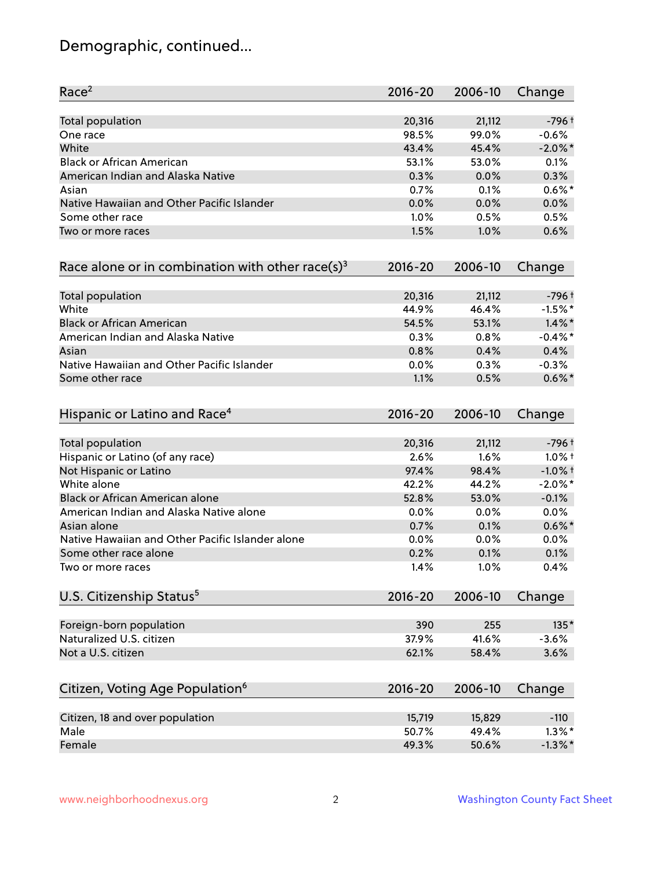# Demographic, continued...

| Race <sup>2</sup>                                   | $2016 - 20$ | 2006-10 | Change     |
|-----------------------------------------------------|-------------|---------|------------|
| <b>Total population</b>                             | 20,316      | 21,112  | $-796 +$   |
| One race                                            | 98.5%       | 99.0%   | $-0.6%$    |
| White                                               | 43.4%       | 45.4%   | $-2.0\%$ * |
| <b>Black or African American</b>                    | 53.1%       | 53.0%   | 0.1%       |
| American Indian and Alaska Native                   | 0.3%        | 0.0%    | 0.3%       |
| Asian                                               | 0.7%        | 0.1%    | $0.6\%$ *  |
| Native Hawaiian and Other Pacific Islander          | 0.0%        | 0.0%    | 0.0%       |
| Some other race                                     | 1.0%        | 0.5%    | 0.5%       |
| Two or more races                                   | 1.5%        | 1.0%    | 0.6%       |
| Race alone or in combination with other race(s) $3$ | $2016 - 20$ | 2006-10 | Change     |
| Total population                                    | 20,316      | 21,112  | $-796 +$   |
| White                                               | 44.9%       | 46.4%   | $-1.5%$ *  |
| <b>Black or African American</b>                    | 54.5%       | 53.1%   | $1.4\%$ *  |
| American Indian and Alaska Native                   | 0.3%        | 0.8%    | $-0.4\%$ * |
| Asian                                               | 0.8%        | 0.4%    | 0.4%       |
| Native Hawaiian and Other Pacific Islander          | 0.0%        | 0.3%    | $-0.3%$    |
| Some other race                                     | 1.1%        | 0.5%    | $0.6\%$ *  |
| Hispanic or Latino and Race <sup>4</sup>            | $2016 - 20$ | 2006-10 | Change     |
| <b>Total population</b>                             | 20,316      | 21,112  | $-796 +$   |
| Hispanic or Latino (of any race)                    | 2.6%        | 1.6%    | $1.0\%$ †  |
| Not Hispanic or Latino                              | 97.4%       | 98.4%   | $-1.0%$ +  |
| White alone                                         | 42.2%       | 44.2%   | $-2.0\%$ * |
| Black or African American alone                     | 52.8%       | 53.0%   | $-0.1%$    |
| American Indian and Alaska Native alone             | 0.0%        | 0.0%    | 0.0%       |
| Asian alone                                         | 0.7%        | 0.1%    | $0.6\%$ *  |
| Native Hawaiian and Other Pacific Islander alone    | 0.0%        | 0.0%    | 0.0%       |
| Some other race alone                               | 0.2%        | 0.1%    | 0.1%       |
| Two or more races                                   | 1.4%        | 1.0%    | 0.4%       |
| U.S. Citizenship Status <sup>5</sup>                | $2016 - 20$ | 2006-10 | Change     |
| Foreign-born population                             | 390         | 255     | $135*$     |
| Naturalized U.S. citizen                            | 37.9%       | 41.6%   | $-3.6%$    |
| Not a U.S. citizen                                  | 62.1%       | 58.4%   | 3.6%       |
|                                                     |             |         |            |
| Citizen, Voting Age Population <sup>6</sup>         | $2016 - 20$ | 2006-10 | Change     |
| Citizen, 18 and over population                     | 15,719      | 15,829  | $-110$     |
| Male                                                | 50.7%       | 49.4%   | $1.3\%$ *  |
| Female                                              | 49.3%       | 50.6%   | $-1.3\%$ * |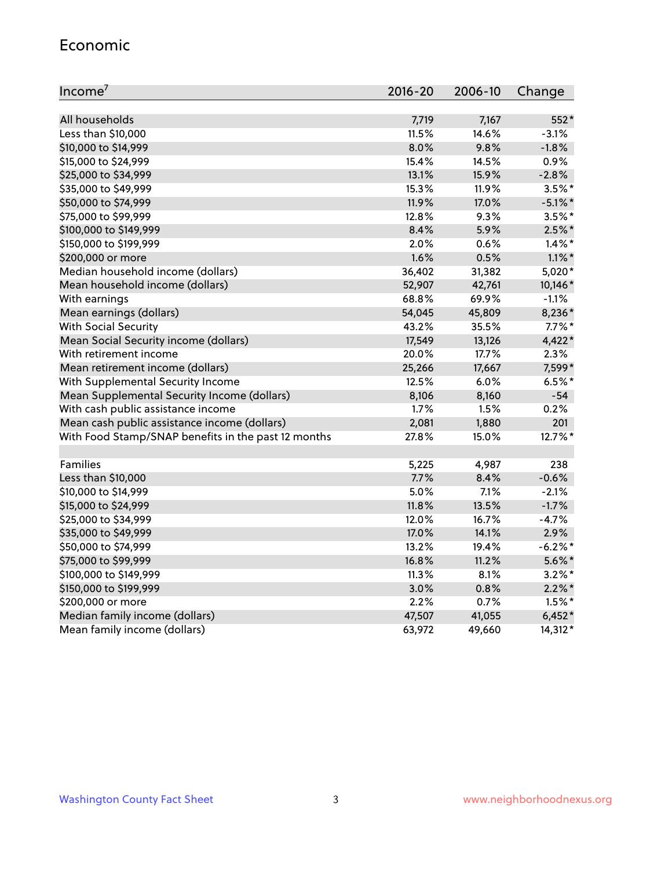#### Economic

| Income <sup>7</sup>                                 | 2016-20 | 2006-10 | Change     |
|-----------------------------------------------------|---------|---------|------------|
|                                                     |         |         |            |
| All households                                      | 7,719   | 7,167   | 552*       |
| Less than \$10,000                                  | 11.5%   | 14.6%   | $-3.1%$    |
| \$10,000 to \$14,999                                | 8.0%    | 9.8%    | $-1.8%$    |
| \$15,000 to \$24,999                                | 15.4%   | 14.5%   | 0.9%       |
| \$25,000 to \$34,999                                | 13.1%   | 15.9%   | $-2.8%$    |
| \$35,000 to \$49,999                                | 15.3%   | 11.9%   | $3.5%$ *   |
| \$50,000 to \$74,999                                | 11.9%   | 17.0%   | $-5.1\%$ * |
| \$75,000 to \$99,999                                | 12.8%   | 9.3%    | $3.5%$ *   |
| \$100,000 to \$149,999                              | 8.4%    | 5.9%    | $2.5%$ *   |
| \$150,000 to \$199,999                              | 2.0%    | 0.6%    | $1.4\%$ *  |
| \$200,000 or more                                   | 1.6%    | 0.5%    | $1.1\%$ *  |
| Median household income (dollars)                   | 36,402  | 31,382  | 5,020*     |
| Mean household income (dollars)                     | 52,907  | 42,761  | 10,146*    |
| With earnings                                       | 68.8%   | 69.9%   | $-1.1%$    |
| Mean earnings (dollars)                             | 54,045  | 45,809  | 8,236*     |
| <b>With Social Security</b>                         | 43.2%   | 35.5%   | $7.7\%$ *  |
| Mean Social Security income (dollars)               | 17,549  | 13,126  | 4,422*     |
| With retirement income                              | 20.0%   | 17.7%   | 2.3%       |
| Mean retirement income (dollars)                    | 25,266  | 17,667  | 7,599*     |
| With Supplemental Security Income                   | 12.5%   | $6.0\%$ | $6.5%$ *   |
| Mean Supplemental Security Income (dollars)         | 8,106   | 8,160   | $-54$      |
| With cash public assistance income                  | 1.7%    | 1.5%    | 0.2%       |
| Mean cash public assistance income (dollars)        | 2,081   | 1,880   | 201        |
| With Food Stamp/SNAP benefits in the past 12 months | 27.8%   | 15.0%   | 12.7%*     |
|                                                     |         |         |            |
| Families                                            | 5,225   | 4,987   | 238        |
| Less than \$10,000                                  | 7.7%    | 8.4%    | $-0.6%$    |
| \$10,000 to \$14,999                                | 5.0%    | 7.1%    | $-2.1%$    |
| \$15,000 to \$24,999                                | 11.8%   | 13.5%   | $-1.7%$    |
| \$25,000 to \$34,999                                | 12.0%   | 16.7%   | $-4.7%$    |
| \$35,000 to \$49,999                                | 17.0%   | 14.1%   | 2.9%       |
| \$50,000 to \$74,999                                | 13.2%   | 19.4%   | $-6.2\%$ * |
| \$75,000 to \$99,999                                | 16.8%   | 11.2%   | $5.6\%$ *  |
| \$100,000 to \$149,999                              | 11.3%   | 8.1%    | $3.2\%$ *  |
| \$150,000 to \$199,999                              | 3.0%    | 0.8%    | $2.2\%$ *  |
| \$200,000 or more                                   | 2.2%    | 0.7%    | $1.5\%$ *  |
| Median family income (dollars)                      | 47,507  | 41,055  | $6,452*$   |
| Mean family income (dollars)                        | 63,972  | 49,660  | 14,312*    |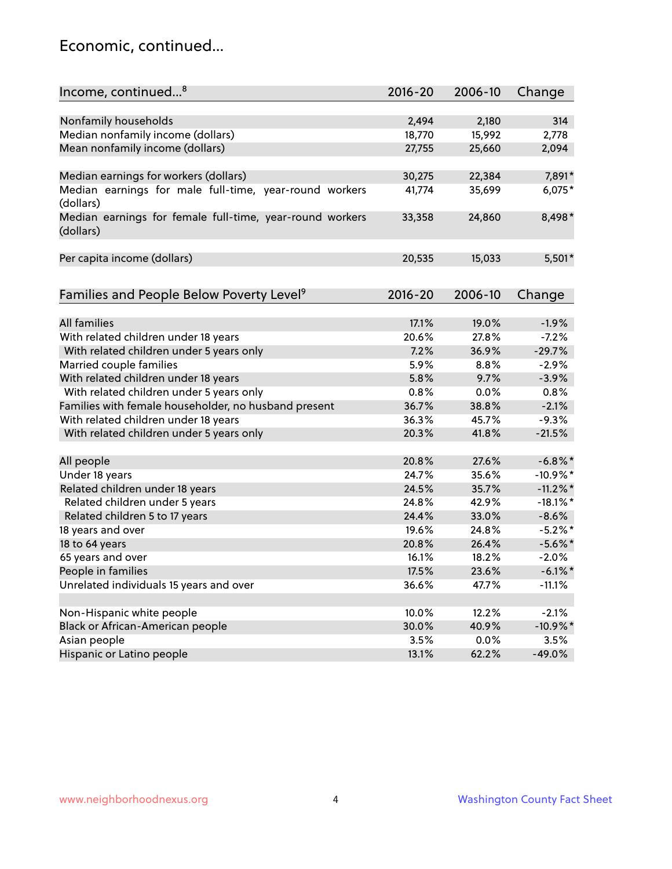#### Economic, continued...

| Income, continued <sup>8</sup>                                        | $2016 - 20$ | 2006-10 | Change      |
|-----------------------------------------------------------------------|-------------|---------|-------------|
|                                                                       |             |         |             |
| Nonfamily households                                                  | 2,494       | 2,180   | 314         |
| Median nonfamily income (dollars)                                     | 18,770      | 15,992  | 2,778       |
| Mean nonfamily income (dollars)                                       | 27,755      | 25,660  | 2,094       |
| Median earnings for workers (dollars)                                 | 30,275      | 22,384  | 7,891*      |
| Median earnings for male full-time, year-round workers                | 41,774      | 35,699  | $6,075*$    |
| (dollars)                                                             |             |         |             |
| Median earnings for female full-time, year-round workers<br>(dollars) | 33,358      | 24,860  | 8,498*      |
| Per capita income (dollars)                                           | 20,535      | 15,033  | $5,501*$    |
|                                                                       |             |         |             |
| Families and People Below Poverty Level <sup>9</sup>                  | $2016 - 20$ | 2006-10 | Change      |
|                                                                       |             |         |             |
| <b>All families</b>                                                   | 17.1%       | 19.0%   | $-1.9%$     |
| With related children under 18 years                                  | 20.6%       | 27.8%   | $-7.2%$     |
| With related children under 5 years only                              | 7.2%        | 36.9%   | $-29.7%$    |
| Married couple families                                               | 5.9%        | 8.8%    | $-2.9%$     |
| With related children under 18 years                                  | 5.8%        | 9.7%    | $-3.9%$     |
| With related children under 5 years only                              | 0.8%        | 0.0%    | 0.8%        |
| Families with female householder, no husband present                  | 36.7%       | 38.8%   | $-2.1%$     |
| With related children under 18 years                                  | 36.3%       | 45.7%   | $-9.3%$     |
| With related children under 5 years only                              | 20.3%       | 41.8%   | $-21.5%$    |
| All people                                                            | 20.8%       | 27.6%   | $-6.8\%$ *  |
| Under 18 years                                                        | 24.7%       | 35.6%   | $-10.9\%$ * |
| Related children under 18 years                                       | 24.5%       | 35.7%   | $-11.2\%$ * |
| Related children under 5 years                                        | 24.8%       | 42.9%   | $-18.1\%$ * |
| Related children 5 to 17 years                                        | 24.4%       | 33.0%   | $-8.6%$     |
| 18 years and over                                                     | 19.6%       | 24.8%   | $-5.2%$ *   |
| 18 to 64 years                                                        | 20.8%       | 26.4%   | $-5.6\%$ *  |
| 65 years and over                                                     | 16.1%       | 18.2%   | $-2.0%$     |
| People in families                                                    | 17.5%       | 23.6%   | $-6.1\%$ *  |
| Unrelated individuals 15 years and over                               | 36.6%       | 47.7%   | $-11.1%$    |
|                                                                       |             |         |             |
| Non-Hispanic white people                                             | 10.0%       | 12.2%   | $-2.1%$     |
| Black or African-American people                                      | 30.0%       | 40.9%   | $-10.9\%$ * |
| Asian people                                                          | 3.5%        | 0.0%    | 3.5%        |
| Hispanic or Latino people                                             | 13.1%       | 62.2%   | $-49.0%$    |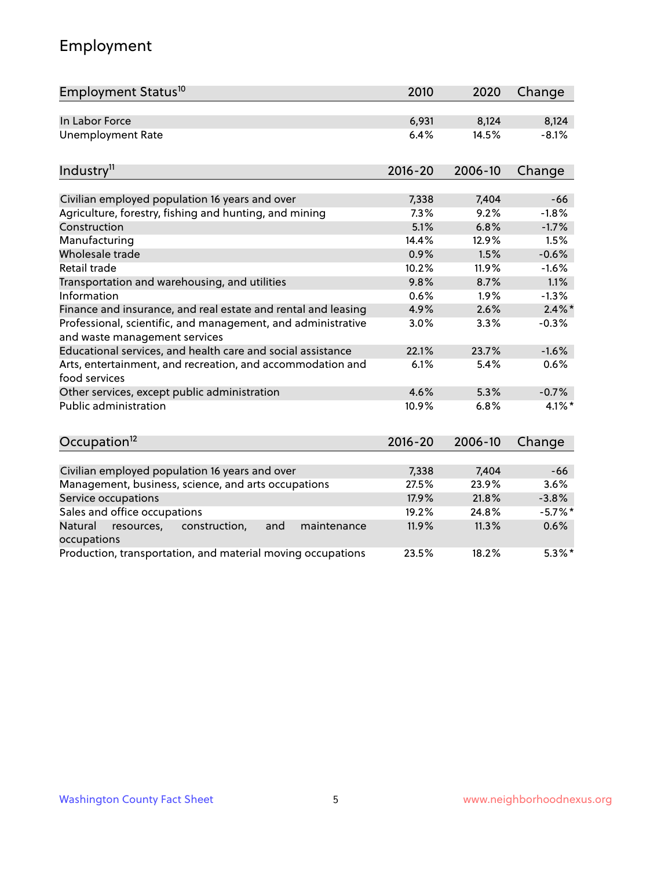# Employment

| Employment Status <sup>10</sup>                                                               | 2010        | 2020    | Change    |
|-----------------------------------------------------------------------------------------------|-------------|---------|-----------|
| In Labor Force                                                                                | 6,931       | 8,124   | 8,124     |
| <b>Unemployment Rate</b>                                                                      | 6.4%        | 14.5%   | $-8.1%$   |
| Industry <sup>11</sup>                                                                        | $2016 - 20$ | 2006-10 | Change    |
| Civilian employed population 16 years and over                                                | 7,338       | 7,404   | $-66$     |
| Agriculture, forestry, fishing and hunting, and mining                                        | 7.3%        | 9.2%    | $-1.8%$   |
| Construction                                                                                  | 5.1%        | 6.8%    | $-1.7%$   |
| Manufacturing                                                                                 | 14.4%       | 12.9%   | 1.5%      |
| Wholesale trade                                                                               | 0.9%        | 1.5%    | $-0.6%$   |
| Retail trade                                                                                  | 10.2%       | 11.9%   | $-1.6%$   |
| Transportation and warehousing, and utilities                                                 | 9.8%        | 8.7%    | 1.1%      |
| Information                                                                                   | 0.6%        | 1.9%    | $-1.3%$   |
| Finance and insurance, and real estate and rental and leasing                                 | 4.9%        | 2.6%    | $2.4\%$ * |
| Professional, scientific, and management, and administrative<br>and waste management services | 3.0%        | 3.3%    | $-0.3%$   |
| Educational services, and health care and social assistance                                   | 22.1%       | 23.7%   | $-1.6%$   |
| Arts, entertainment, and recreation, and accommodation and<br>food services                   | 6.1%        | 5.4%    | 0.6%      |
| Other services, except public administration                                                  | 4.6%        | 5.3%    | $-0.7%$   |
| <b>Public administration</b>                                                                  | 10.9%       | 6.8%    | 4.1%*     |
| Occupation <sup>12</sup>                                                                      | $2016 - 20$ | 2006-10 | Change    |
|                                                                                               |             |         |           |
| Civilian employed population 16 years and over                                                | 7,338       | 7,404   | $-66$     |
| Management, business, science, and arts occupations                                           | 27.5%       | 23.9%   | 3.6%      |
| Service occupations                                                                           | 17.9%       | 21.8%   | $-3.8%$   |
| Sales and office occupations                                                                  | 19.2%       | 24.8%   | $-5.7%$ * |
| Natural<br>resources,<br>construction,<br>and<br>maintenance<br>occupations                   | 11.9%       | 11.3%   | 0.6%      |
| Production, transportation, and material moving occupations                                   | 23.5%       | 18.2%   | $5.3\%$ * |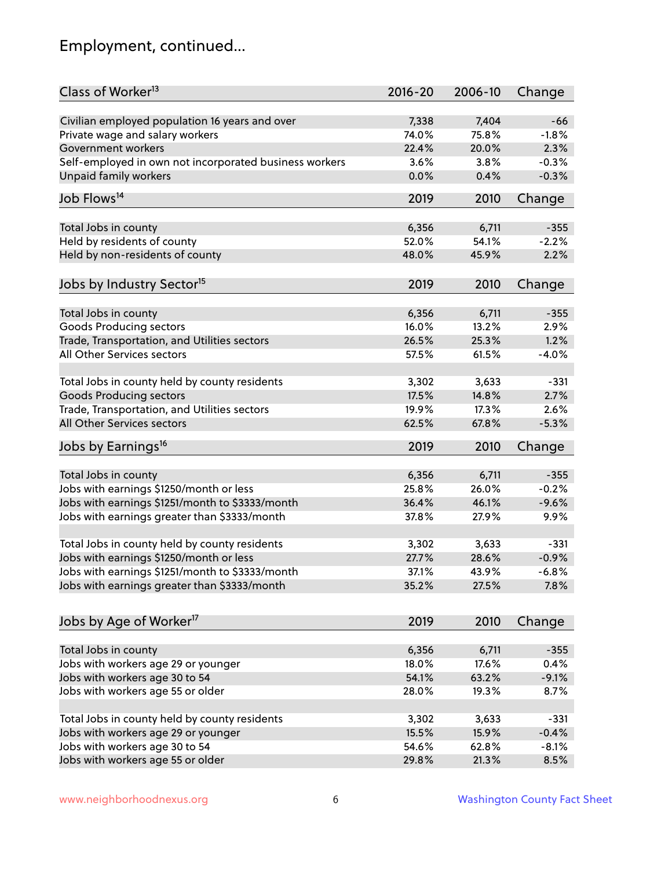# Employment, continued...

| Class of Worker <sup>13</sup>                          | $2016 - 20$    | 2006-10        | Change  |
|--------------------------------------------------------|----------------|----------------|---------|
| Civilian employed population 16 years and over         | 7,338          | 7,404          | $-66$   |
| Private wage and salary workers                        | 74.0%          | 75.8%          | $-1.8%$ |
| Government workers                                     | 22.4%          | 20.0%          | 2.3%    |
| Self-employed in own not incorporated business workers | 3.6%           | 3.8%           | $-0.3%$ |
| Unpaid family workers                                  | 0.0%           | 0.4%           | $-0.3%$ |
|                                                        |                |                |         |
| Job Flows <sup>14</sup>                                | 2019           | 2010           | Change  |
| Total Jobs in county                                   | 6,356          | 6,711          | $-355$  |
| Held by residents of county                            | 52.0%          | 54.1%          | $-2.2%$ |
| Held by non-residents of county                        | 48.0%          | 45.9%          | 2.2%    |
|                                                        |                |                |         |
| Jobs by Industry Sector <sup>15</sup>                  | 2019           | 2010           | Change  |
| Total Jobs in county                                   | 6,356          | 6,711          | $-355$  |
| Goods Producing sectors                                | 16.0%          | 13.2%          | 2.9%    |
| Trade, Transportation, and Utilities sectors           | 26.5%          | 25.3%          | 1.2%    |
| All Other Services sectors                             | 57.5%          | 61.5%          | $-4.0%$ |
|                                                        |                |                |         |
| Total Jobs in county held by county residents          | 3,302          | 3,633          | $-331$  |
| <b>Goods Producing sectors</b>                         | 17.5%          | 14.8%          | 2.7%    |
| Trade, Transportation, and Utilities sectors           | 19.9%          | 17.3%          | 2.6%    |
| All Other Services sectors                             | 62.5%          | 67.8%          | $-5.3%$ |
| Jobs by Earnings <sup>16</sup>                         | 2019           | 2010           | Change  |
|                                                        |                |                |         |
| Total Jobs in county                                   | 6,356          | 6,711          | $-355$  |
| Jobs with earnings \$1250/month or less                | 25.8%          | 26.0%          | $-0.2%$ |
| Jobs with earnings \$1251/month to \$3333/month        | 36.4%          | 46.1%          | $-9.6%$ |
| Jobs with earnings greater than \$3333/month           | 37.8%          | 27.9%          | 9.9%    |
| Total Jobs in county held by county residents          | 3,302          | 3,633          | $-331$  |
| Jobs with earnings \$1250/month or less                | 27.7%          | 28.6%          | $-0.9%$ |
| Jobs with earnings \$1251/month to \$3333/month        | 37.1%          | 43.9%          | -6.8%   |
| Jobs with earnings greater than \$3333/month           | 35.2%          | 27.5%          | 7.8%    |
|                                                        |                |                |         |
| Jobs by Age of Worker <sup>17</sup>                    | 2019           | 2010           | Change  |
| Total Jobs in county                                   |                |                |         |
| Jobs with workers age 29 or younger                    | 6,356<br>18.0% | 6,711<br>17.6% | $-355$  |
|                                                        |                |                | 0.4%    |
| Jobs with workers age 30 to 54                         | 54.1%          | 63.2%          | $-9.1%$ |
| Jobs with workers age 55 or older                      | 28.0%          | 19.3%          | 8.7%    |
| Total Jobs in county held by county residents          | 3,302          | 3,633          | $-331$  |
| Jobs with workers age 29 or younger                    | 15.5%          | 15.9%          | $-0.4%$ |
| Jobs with workers age 30 to 54                         | 54.6%          | 62.8%          | $-8.1%$ |
| Jobs with workers age 55 or older                      | 29.8%          | 21.3%          | 8.5%    |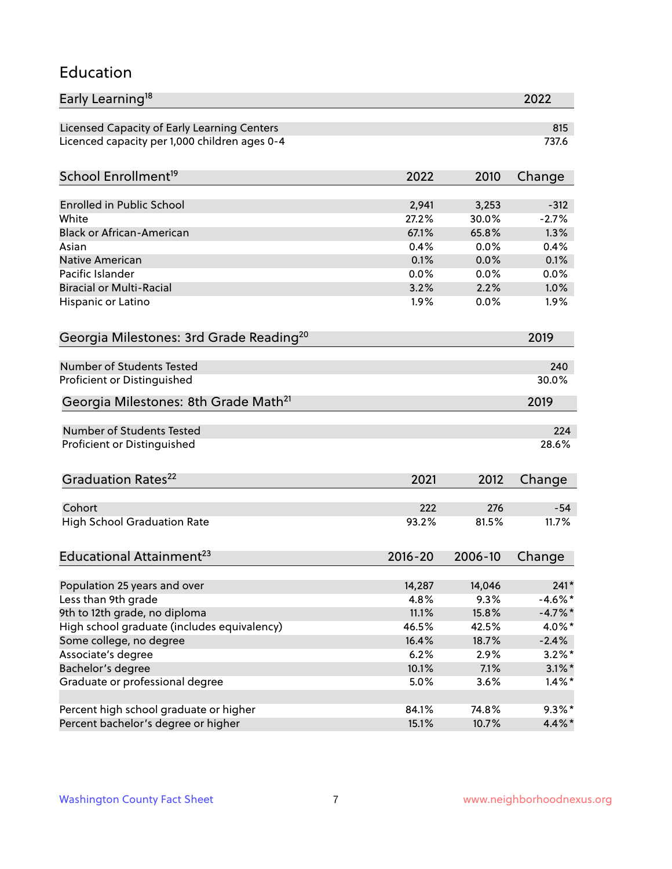#### Education

| Early Learning <sup>18</sup>                        |               |              | 2022         |
|-----------------------------------------------------|---------------|--------------|--------------|
| Licensed Capacity of Early Learning Centers         |               |              | 815          |
| Licenced capacity per 1,000 children ages 0-4       |               |              | 737.6        |
| School Enrollment <sup>19</sup>                     | 2022          | 2010         | Change       |
|                                                     |               |              |              |
| <b>Enrolled in Public School</b>                    | 2,941         | 3,253        | $-312$       |
| White                                               | 27.2%         | 30.0%        | $-2.7%$      |
| <b>Black or African-American</b>                    | 67.1%<br>0.4% | 65.8%        | 1.3%         |
| Asian                                               |               | 0.0%         | 0.4%         |
| <b>Native American</b><br>Pacific Islander          | 0.1%<br>0.0%  | 0.0%         | 0.1%         |
| <b>Biracial or Multi-Racial</b>                     | 3.2%          | 0.0%<br>2.2% | 0.0%<br>1.0% |
|                                                     |               |              |              |
| Hispanic or Latino                                  | $1.9\%$       | 0.0%         | 1.9%         |
| Georgia Milestones: 3rd Grade Reading <sup>20</sup> |               |              | 2019         |
| Number of Students Tested                           |               |              | 240          |
| Proficient or Distinguished                         |               |              | 30.0%        |
|                                                     |               |              |              |
| Georgia Milestones: 8th Grade Math <sup>21</sup>    |               |              | 2019         |
| Number of Students Tested                           |               |              | 224          |
| Proficient or Distinguished                         |               |              | 28.6%        |
| Graduation Rates <sup>22</sup>                      | 2021          | 2012         | Change       |
|                                                     |               |              |              |
| Cohort                                              | 222           | 276          | $-54$        |
| <b>High School Graduation Rate</b>                  | 93.2%         | 81.5%        | 11.7%        |
| Educational Attainment <sup>23</sup>                | $2016 - 20$   | 2006-10      | Change       |
| Population 25 years and over                        | 14,287        | 14,046       | $241*$       |
| Less than 9th grade                                 | 4.8%          | 9.3%         | $-4.6\%$ *   |
| 9th to 12th grade, no diploma                       | 11.1%         | 15.8%        | $-4.7\%$ *   |
| High school graduate (includes equivalency)         | 46.5%         | 42.5%        | 4.0%*        |
| Some college, no degree                             | 16.4%         | 18.7%        | $-2.4%$      |
| Associate's degree                                  | 6.2%          | 2.9%         | $3.2\%$ *    |
| Bachelor's degree                                   | 10.1%         | 7.1%         | $3.1\%$ *    |
| Graduate or professional degree                     | 5.0%          | 3.6%         | $1.4\%$ *    |
|                                                     |               |              |              |
| Percent high school graduate or higher              | 84.1%         | 74.8%        | $9.3\%*$     |
| Percent bachelor's degree or higher                 | 15.1%         | 10.7%        | 4.4%*        |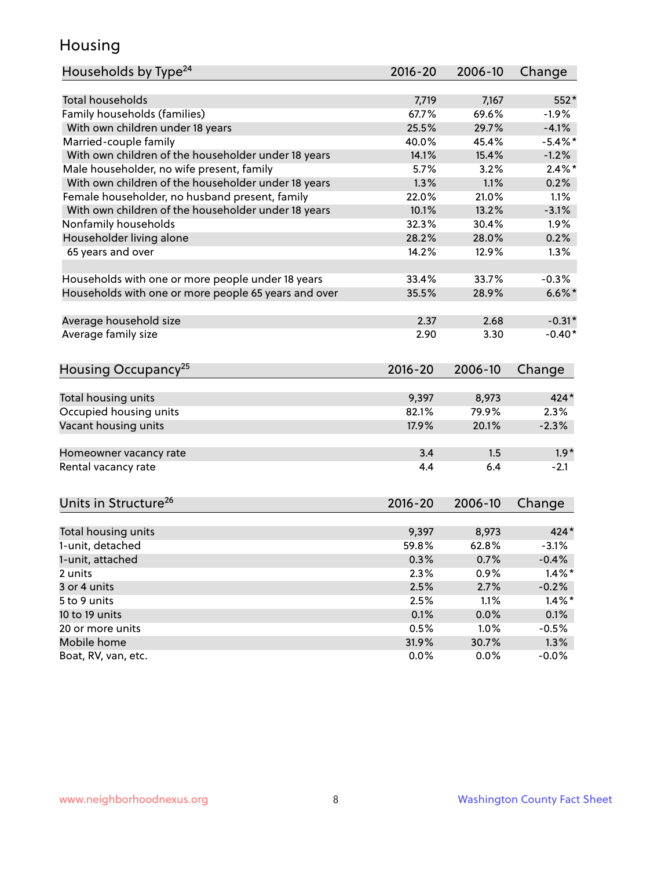#### Housing

| <b>Total households</b><br>7,167<br>552*<br>7,719<br>Family households (families)<br>67.7%<br>69.6%<br>$-1.9%$<br>$-4.1%$<br>With own children under 18 years<br>25.5%<br>29.7%<br>Married-couple family<br>$-5.4\%$ *<br>40.0%<br>45.4%<br>With own children of the householder under 18 years<br>14.1%<br>15.4%<br>$-1.2%$<br>Male householder, no wife present, family<br>$2.4\%$ *<br>5.7%<br>3.2%<br>With own children of the householder under 18 years<br>1.3%<br>1.1%<br>0.2%<br>Female householder, no husband present, family<br>22.0%<br>1.1%<br>21.0%<br>With own children of the householder under 18 years<br>10.1%<br>$-3.1%$<br>13.2%<br>Nonfamily households<br>1.9%<br>32.3%<br>30.4%<br>Householder living alone<br>28.2%<br>0.2%<br>28.0%<br>65 years and over<br>14.2%<br>12.9%<br>1.3%<br>33.4%<br>33.7%<br>$-0.3%$<br>Households with one or more people under 18 years<br>Households with one or more people 65 years and over<br>35.5%<br>28.9%<br>$6.6\%$ *<br>Average household size<br>2.68<br>$-0.31*$<br>2.37<br>Average family size<br>2.90<br>3.30<br>$-0.40*$<br>Housing Occupancy <sup>25</sup><br>2016-20<br>2006-10<br>Change<br>Total housing units<br>9,397<br>8,973<br>424*<br>Occupied housing units<br>82.1%<br>79.9%<br>2.3%<br>Vacant housing units<br>17.9%<br>20.1%<br>$-2.3%$<br>3.4<br>1.5<br>$1.9*$<br>Homeowner vacancy rate<br>6.4<br>Rental vacancy rate<br>4.4<br>$-2.1$<br>Units in Structure <sup>26</sup><br>$2016 - 20$<br>2006-10<br>Change<br>9,397<br>8,973<br>$424*$<br>Total housing units<br>1-unit, detached<br>59.8%<br>62.8%<br>$-3.1%$<br>1-unit, attached<br>0.3%<br>0.7%<br>$-0.4%$<br>2.3%<br>0.9%<br>$1.4\%$ *<br>2 units<br>3 or 4 units<br>2.5%<br>2.7%<br>$-0.2%$<br>$1.4\%$ *<br>5 to 9 units<br>2.5%<br>1.1%<br>10 to 19 units<br>0.1%<br>0.0%<br>0.1%<br>1.0%<br>20 or more units<br>0.5%<br>$-0.5%$<br>Mobile home<br>31.9%<br>30.7%<br>1.3% | Households by Type <sup>24</sup> | 2016-20 | 2006-10 | Change  |
|---------------------------------------------------------------------------------------------------------------------------------------------------------------------------------------------------------------------------------------------------------------------------------------------------------------------------------------------------------------------------------------------------------------------------------------------------------------------------------------------------------------------------------------------------------------------------------------------------------------------------------------------------------------------------------------------------------------------------------------------------------------------------------------------------------------------------------------------------------------------------------------------------------------------------------------------------------------------------------------------------------------------------------------------------------------------------------------------------------------------------------------------------------------------------------------------------------------------------------------------------------------------------------------------------------------------------------------------------------------------------------------------------------------------------------------------------------------------------------------------------------------------------------------------------------------------------------------------------------------------------------------------------------------------------------------------------------------------------------------------------------------------------------------------------------------------------------------------------------------------------------------------------------------------------|----------------------------------|---------|---------|---------|
|                                                                                                                                                                                                                                                                                                                                                                                                                                                                                                                                                                                                                                                                                                                                                                                                                                                                                                                                                                                                                                                                                                                                                                                                                                                                                                                                                                                                                                                                                                                                                                                                                                                                                                                                                                                                                                                                                                                           |                                  |         |         |         |
|                                                                                                                                                                                                                                                                                                                                                                                                                                                                                                                                                                                                                                                                                                                                                                                                                                                                                                                                                                                                                                                                                                                                                                                                                                                                                                                                                                                                                                                                                                                                                                                                                                                                                                                                                                                                                                                                                                                           |                                  |         |         |         |
|                                                                                                                                                                                                                                                                                                                                                                                                                                                                                                                                                                                                                                                                                                                                                                                                                                                                                                                                                                                                                                                                                                                                                                                                                                                                                                                                                                                                                                                                                                                                                                                                                                                                                                                                                                                                                                                                                                                           |                                  |         |         |         |
|                                                                                                                                                                                                                                                                                                                                                                                                                                                                                                                                                                                                                                                                                                                                                                                                                                                                                                                                                                                                                                                                                                                                                                                                                                                                                                                                                                                                                                                                                                                                                                                                                                                                                                                                                                                                                                                                                                                           |                                  |         |         |         |
|                                                                                                                                                                                                                                                                                                                                                                                                                                                                                                                                                                                                                                                                                                                                                                                                                                                                                                                                                                                                                                                                                                                                                                                                                                                                                                                                                                                                                                                                                                                                                                                                                                                                                                                                                                                                                                                                                                                           |                                  |         |         |         |
|                                                                                                                                                                                                                                                                                                                                                                                                                                                                                                                                                                                                                                                                                                                                                                                                                                                                                                                                                                                                                                                                                                                                                                                                                                                                                                                                                                                                                                                                                                                                                                                                                                                                                                                                                                                                                                                                                                                           |                                  |         |         |         |
|                                                                                                                                                                                                                                                                                                                                                                                                                                                                                                                                                                                                                                                                                                                                                                                                                                                                                                                                                                                                                                                                                                                                                                                                                                                                                                                                                                                                                                                                                                                                                                                                                                                                                                                                                                                                                                                                                                                           |                                  |         |         |         |
|                                                                                                                                                                                                                                                                                                                                                                                                                                                                                                                                                                                                                                                                                                                                                                                                                                                                                                                                                                                                                                                                                                                                                                                                                                                                                                                                                                                                                                                                                                                                                                                                                                                                                                                                                                                                                                                                                                                           |                                  |         |         |         |
|                                                                                                                                                                                                                                                                                                                                                                                                                                                                                                                                                                                                                                                                                                                                                                                                                                                                                                                                                                                                                                                                                                                                                                                                                                                                                                                                                                                                                                                                                                                                                                                                                                                                                                                                                                                                                                                                                                                           |                                  |         |         |         |
|                                                                                                                                                                                                                                                                                                                                                                                                                                                                                                                                                                                                                                                                                                                                                                                                                                                                                                                                                                                                                                                                                                                                                                                                                                                                                                                                                                                                                                                                                                                                                                                                                                                                                                                                                                                                                                                                                                                           |                                  |         |         |         |
|                                                                                                                                                                                                                                                                                                                                                                                                                                                                                                                                                                                                                                                                                                                                                                                                                                                                                                                                                                                                                                                                                                                                                                                                                                                                                                                                                                                                                                                                                                                                                                                                                                                                                                                                                                                                                                                                                                                           |                                  |         |         |         |
|                                                                                                                                                                                                                                                                                                                                                                                                                                                                                                                                                                                                                                                                                                                                                                                                                                                                                                                                                                                                                                                                                                                                                                                                                                                                                                                                                                                                                                                                                                                                                                                                                                                                                                                                                                                                                                                                                                                           |                                  |         |         |         |
|                                                                                                                                                                                                                                                                                                                                                                                                                                                                                                                                                                                                                                                                                                                                                                                                                                                                                                                                                                                                                                                                                                                                                                                                                                                                                                                                                                                                                                                                                                                                                                                                                                                                                                                                                                                                                                                                                                                           |                                  |         |         |         |
|                                                                                                                                                                                                                                                                                                                                                                                                                                                                                                                                                                                                                                                                                                                                                                                                                                                                                                                                                                                                                                                                                                                                                                                                                                                                                                                                                                                                                                                                                                                                                                                                                                                                                                                                                                                                                                                                                                                           |                                  |         |         |         |
|                                                                                                                                                                                                                                                                                                                                                                                                                                                                                                                                                                                                                                                                                                                                                                                                                                                                                                                                                                                                                                                                                                                                                                                                                                                                                                                                                                                                                                                                                                                                                                                                                                                                                                                                                                                                                                                                                                                           |                                  |         |         |         |
|                                                                                                                                                                                                                                                                                                                                                                                                                                                                                                                                                                                                                                                                                                                                                                                                                                                                                                                                                                                                                                                                                                                                                                                                                                                                                                                                                                                                                                                                                                                                                                                                                                                                                                                                                                                                                                                                                                                           |                                  |         |         |         |
|                                                                                                                                                                                                                                                                                                                                                                                                                                                                                                                                                                                                                                                                                                                                                                                                                                                                                                                                                                                                                                                                                                                                                                                                                                                                                                                                                                                                                                                                                                                                                                                                                                                                                                                                                                                                                                                                                                                           |                                  |         |         |         |
|                                                                                                                                                                                                                                                                                                                                                                                                                                                                                                                                                                                                                                                                                                                                                                                                                                                                                                                                                                                                                                                                                                                                                                                                                                                                                                                                                                                                                                                                                                                                                                                                                                                                                                                                                                                                                                                                                                                           |                                  |         |         |         |
|                                                                                                                                                                                                                                                                                                                                                                                                                                                                                                                                                                                                                                                                                                                                                                                                                                                                                                                                                                                                                                                                                                                                                                                                                                                                                                                                                                                                                                                                                                                                                                                                                                                                                                                                                                                                                                                                                                                           |                                  |         |         |         |
|                                                                                                                                                                                                                                                                                                                                                                                                                                                                                                                                                                                                                                                                                                                                                                                                                                                                                                                                                                                                                                                                                                                                                                                                                                                                                                                                                                                                                                                                                                                                                                                                                                                                                                                                                                                                                                                                                                                           |                                  |         |         |         |
|                                                                                                                                                                                                                                                                                                                                                                                                                                                                                                                                                                                                                                                                                                                                                                                                                                                                                                                                                                                                                                                                                                                                                                                                                                                                                                                                                                                                                                                                                                                                                                                                                                                                                                                                                                                                                                                                                                                           |                                  |         |         |         |
|                                                                                                                                                                                                                                                                                                                                                                                                                                                                                                                                                                                                                                                                                                                                                                                                                                                                                                                                                                                                                                                                                                                                                                                                                                                                                                                                                                                                                                                                                                                                                                                                                                                                                                                                                                                                                                                                                                                           |                                  |         |         |         |
|                                                                                                                                                                                                                                                                                                                                                                                                                                                                                                                                                                                                                                                                                                                                                                                                                                                                                                                                                                                                                                                                                                                                                                                                                                                                                                                                                                                                                                                                                                                                                                                                                                                                                                                                                                                                                                                                                                                           |                                  |         |         |         |
|                                                                                                                                                                                                                                                                                                                                                                                                                                                                                                                                                                                                                                                                                                                                                                                                                                                                                                                                                                                                                                                                                                                                                                                                                                                                                                                                                                                                                                                                                                                                                                                                                                                                                                                                                                                                                                                                                                                           |                                  |         |         |         |
|                                                                                                                                                                                                                                                                                                                                                                                                                                                                                                                                                                                                                                                                                                                                                                                                                                                                                                                                                                                                                                                                                                                                                                                                                                                                                                                                                                                                                                                                                                                                                                                                                                                                                                                                                                                                                                                                                                                           |                                  |         |         |         |
|                                                                                                                                                                                                                                                                                                                                                                                                                                                                                                                                                                                                                                                                                                                                                                                                                                                                                                                                                                                                                                                                                                                                                                                                                                                                                                                                                                                                                                                                                                                                                                                                                                                                                                                                                                                                                                                                                                                           |                                  |         |         |         |
|                                                                                                                                                                                                                                                                                                                                                                                                                                                                                                                                                                                                                                                                                                                                                                                                                                                                                                                                                                                                                                                                                                                                                                                                                                                                                                                                                                                                                                                                                                                                                                                                                                                                                                                                                                                                                                                                                                                           |                                  |         |         |         |
|                                                                                                                                                                                                                                                                                                                                                                                                                                                                                                                                                                                                                                                                                                                                                                                                                                                                                                                                                                                                                                                                                                                                                                                                                                                                                                                                                                                                                                                                                                                                                                                                                                                                                                                                                                                                                                                                                                                           |                                  |         |         |         |
|                                                                                                                                                                                                                                                                                                                                                                                                                                                                                                                                                                                                                                                                                                                                                                                                                                                                                                                                                                                                                                                                                                                                                                                                                                                                                                                                                                                                                                                                                                                                                                                                                                                                                                                                                                                                                                                                                                                           |                                  |         |         |         |
|                                                                                                                                                                                                                                                                                                                                                                                                                                                                                                                                                                                                                                                                                                                                                                                                                                                                                                                                                                                                                                                                                                                                                                                                                                                                                                                                                                                                                                                                                                                                                                                                                                                                                                                                                                                                                                                                                                                           |                                  |         |         |         |
|                                                                                                                                                                                                                                                                                                                                                                                                                                                                                                                                                                                                                                                                                                                                                                                                                                                                                                                                                                                                                                                                                                                                                                                                                                                                                                                                                                                                                                                                                                                                                                                                                                                                                                                                                                                                                                                                                                                           |                                  |         |         |         |
|                                                                                                                                                                                                                                                                                                                                                                                                                                                                                                                                                                                                                                                                                                                                                                                                                                                                                                                                                                                                                                                                                                                                                                                                                                                                                                                                                                                                                                                                                                                                                                                                                                                                                                                                                                                                                                                                                                                           |                                  |         |         |         |
|                                                                                                                                                                                                                                                                                                                                                                                                                                                                                                                                                                                                                                                                                                                                                                                                                                                                                                                                                                                                                                                                                                                                                                                                                                                                                                                                                                                                                                                                                                                                                                                                                                                                                                                                                                                                                                                                                                                           |                                  |         |         |         |
|                                                                                                                                                                                                                                                                                                                                                                                                                                                                                                                                                                                                                                                                                                                                                                                                                                                                                                                                                                                                                                                                                                                                                                                                                                                                                                                                                                                                                                                                                                                                                                                                                                                                                                                                                                                                                                                                                                                           |                                  |         |         |         |
|                                                                                                                                                                                                                                                                                                                                                                                                                                                                                                                                                                                                                                                                                                                                                                                                                                                                                                                                                                                                                                                                                                                                                                                                                                                                                                                                                                                                                                                                                                                                                                                                                                                                                                                                                                                                                                                                                                                           |                                  |         |         |         |
|                                                                                                                                                                                                                                                                                                                                                                                                                                                                                                                                                                                                                                                                                                                                                                                                                                                                                                                                                                                                                                                                                                                                                                                                                                                                                                                                                                                                                                                                                                                                                                                                                                                                                                                                                                                                                                                                                                                           | Boat, RV, van, etc.              | 0.0%    | 0.0%    | $-0.0%$ |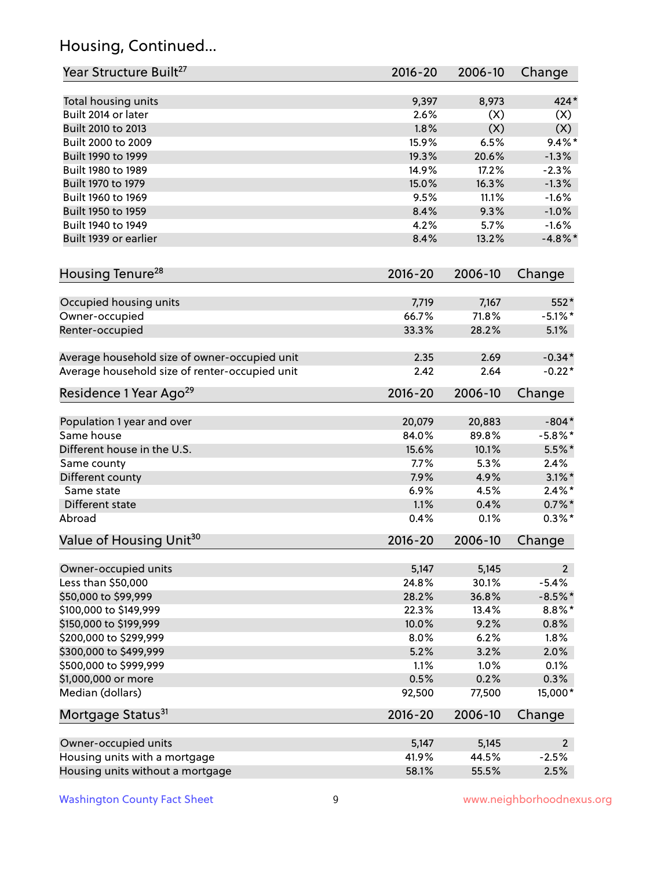# Housing, Continued...

| Year Structure Built <sup>27</sup>             | 2016-20        | 2006-10        | Change             |
|------------------------------------------------|----------------|----------------|--------------------|
| Total housing units                            | 9,397          | 8,973          | 424*               |
| Built 2014 or later                            | 2.6%           | (X)            | (X)                |
| Built 2010 to 2013                             | 1.8%           | (X)            | (X)                |
| Built 2000 to 2009                             | 15.9%          | 6.5%           | $9.4\%$ *          |
| Built 1990 to 1999                             | 19.3%          | 20.6%          | $-1.3%$            |
| Built 1980 to 1989                             | 14.9%          | 17.2%          | $-2.3%$            |
| Built 1970 to 1979                             | 15.0%          | 16.3%          | $-1.3%$            |
| Built 1960 to 1969                             | 9.5%           | 11.1%          | $-1.6%$            |
| Built 1950 to 1959                             | 8.4%           | 9.3%           | $-1.0%$            |
| Built 1940 to 1949                             | 4.2%           | 5.7%           | $-1.6%$            |
| Built 1939 or earlier                          | 8.4%           | 13.2%          | $-4.8\%$ *         |
| Housing Tenure <sup>28</sup>                   | $2016 - 20$    | 2006-10        | Change             |
|                                                |                |                |                    |
| Occupied housing units<br>Owner-occupied       | 7,719<br>66.7% | 7,167<br>71.8% | 552*<br>$-5.1\%$ * |
| Renter-occupied                                | 33.3%          | 28.2%          | 5.1%               |
|                                                |                |                |                    |
| Average household size of owner-occupied unit  | 2.35           | 2.69           | $-0.34*$           |
| Average household size of renter-occupied unit | 2.42           | 2.64           | $-0.22*$           |
| Residence 1 Year Ago <sup>29</sup>             | 2016-20        | 2006-10        | Change             |
| Population 1 year and over                     | 20,079         | 20,883         | $-804*$            |
| Same house                                     | 84.0%          | 89.8%          | $-5.8\%$ *         |
| Different house in the U.S.                    | 15.6%          | 10.1%          | $5.5\%$ *          |
| Same county                                    | 7.7%           | 5.3%           | 2.4%               |
| Different county                               | 7.9%           | 4.9%           | $3.1\%$ *          |
| Same state                                     | 6.9%           | 4.5%           | $2.4\%$ *          |
| Different state                                | 1.1%           | 0.4%           | $0.7\%$ *          |
| Abroad                                         | 0.4%           | 0.1%           | $0.3\%$ *          |
| Value of Housing Unit <sup>30</sup>            | $2016 - 20$    | 2006-10        | Change             |
| Owner-occupied units                           | 5,147          | 5,145          | $2^{\circ}$        |
| Less than \$50,000                             | 24.8%          | 30.1%          | $-5.4%$            |
| \$50,000 to \$99,999                           | 28.2%          | 36.8%          | $-8.5%$ *          |
| \$100,000 to \$149,999                         | 22.3%          | 13.4%          | $8.8\%$ *          |
| \$150,000 to \$199,999                         | 10.0%          | 9.2%           | 0.8%               |
| \$200,000 to \$299,999                         | 8.0%           | 6.2%           | 1.8%               |
| \$300,000 to \$499,999                         | 5.2%           | 3.2%           | 2.0%               |
| \$500,000 to \$999,999                         | 1.1%           | 1.0%           | 0.1%               |
| \$1,000,000 or more                            | 0.5%           | 0.2%           | 0.3%               |
| Median (dollars)                               | 92,500         | 77,500         | 15,000*            |
| Mortgage Status <sup>31</sup>                  | $2016 - 20$    | 2006-10        | Change             |
| Owner-occupied units                           | 5,147          | 5,145          | $2^{\circ}$        |
| Housing units with a mortgage                  | 41.9%          | 44.5%          | $-2.5%$            |
|                                                |                |                |                    |
| Housing units without a mortgage               | 58.1%          | 55.5%          | 2.5%               |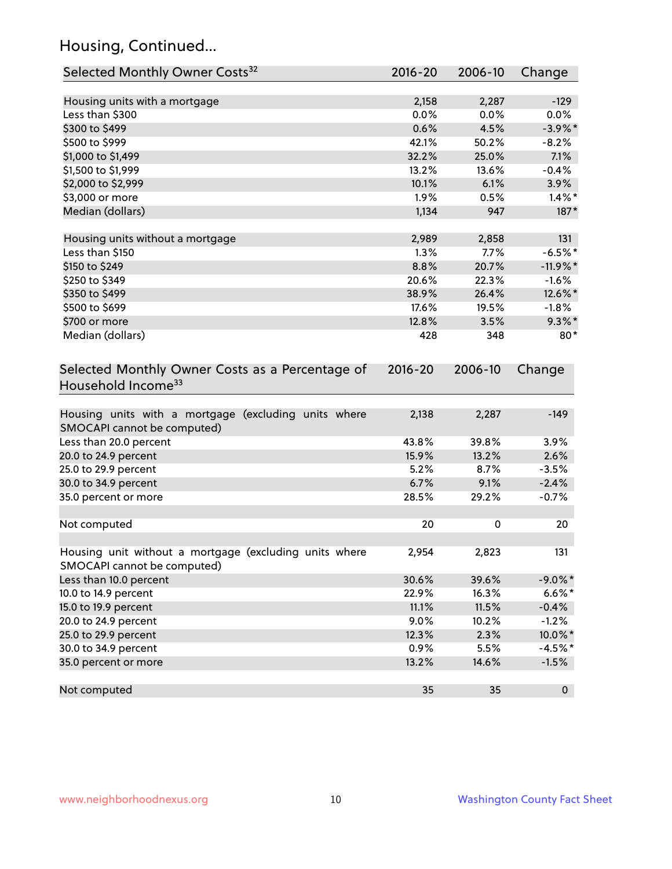# Housing, Continued...

| Selected Monthly Owner Costs <sup>32</sup>                                            | 2016-20     | 2006-10 | Change      |
|---------------------------------------------------------------------------------------|-------------|---------|-------------|
| Housing units with a mortgage                                                         | 2,158       | 2,287   | $-129$      |
| Less than \$300                                                                       | 0.0%        | 0.0%    | 0.0%        |
| \$300 to \$499                                                                        | 0.6%        | 4.5%    | $-3.9\%$ *  |
| \$500 to \$999                                                                        | 42.1%       | 50.2%   | $-8.2%$     |
| \$1,000 to \$1,499                                                                    | 32.2%       | 25.0%   | 7.1%        |
| \$1,500 to \$1,999                                                                    | 13.2%       | 13.6%   | $-0.4%$     |
| \$2,000 to \$2,999                                                                    | 10.1%       | 6.1%    | 3.9%        |
| \$3,000 or more                                                                       | 1.9%        | 0.5%    | $1.4\%$ *   |
| Median (dollars)                                                                      | 1,134       | 947     | 187*        |
|                                                                                       |             |         |             |
| Housing units without a mortgage                                                      | 2,989       | 2,858   | 131         |
| Less than \$150                                                                       | 1.3%        | 7.7%    | $-6.5%$ *   |
| \$150 to \$249                                                                        | 8.8%        | 20.7%   | $-11.9%$ *  |
| \$250 to \$349                                                                        | 20.6%       | 22.3%   | $-1.6%$     |
| \$350 to \$499                                                                        | 38.9%       | 26.4%   | 12.6%*      |
| \$500 to \$699                                                                        | 17.6%       | 19.5%   | $-1.8%$     |
| \$700 or more                                                                         | 12.8%       | 3.5%    | $9.3\%$ *   |
| Median (dollars)                                                                      | 428         | 348     | $80*$       |
| Selected Monthly Owner Costs as a Percentage of<br>Household Income <sup>33</sup>     | $2016 - 20$ | 2006-10 | Change      |
| Housing units with a mortgage (excluding units where<br>SMOCAPI cannot be computed)   | 2,138       | 2,287   | $-149$      |
| Less than 20.0 percent                                                                | 43.8%       | 39.8%   | 3.9%        |
| 20.0 to 24.9 percent                                                                  | 15.9%       | 13.2%   | 2.6%        |
| 25.0 to 29.9 percent                                                                  | 5.2%        | 8.7%    | $-3.5%$     |
| 30.0 to 34.9 percent                                                                  | 6.7%        | 9.1%    | $-2.4%$     |
| 35.0 percent or more                                                                  | 28.5%       | 29.2%   | $-0.7%$     |
| Not computed                                                                          | 20          | 0       | 20          |
| Housing unit without a mortgage (excluding units where<br>SMOCAPI cannot be computed) | 2,954       | 2,823   | 131         |
| Less than 10.0 percent                                                                | 30.6%       | 39.6%   | $-9.0\%$ *  |
| 10.0 to 14.9 percent                                                                  | 22.9%       | 16.3%   | $6.6\%*$    |
| 15.0 to 19.9 percent                                                                  | 11.1%       | 11.5%   | $-0.4%$     |
| 20.0 to 24.9 percent                                                                  | 9.0%        | 10.2%   | $-1.2%$     |
| 25.0 to 29.9 percent                                                                  | 12.3%       | 2.3%    | 10.0%*      |
| 30.0 to 34.9 percent                                                                  | 0.9%        | 5.5%    | $-4.5%$ *   |
| 35.0 percent or more                                                                  | 13.2%       | 14.6%   | $-1.5%$     |
| Not computed                                                                          | 35          | 35      | $\mathbf 0$ |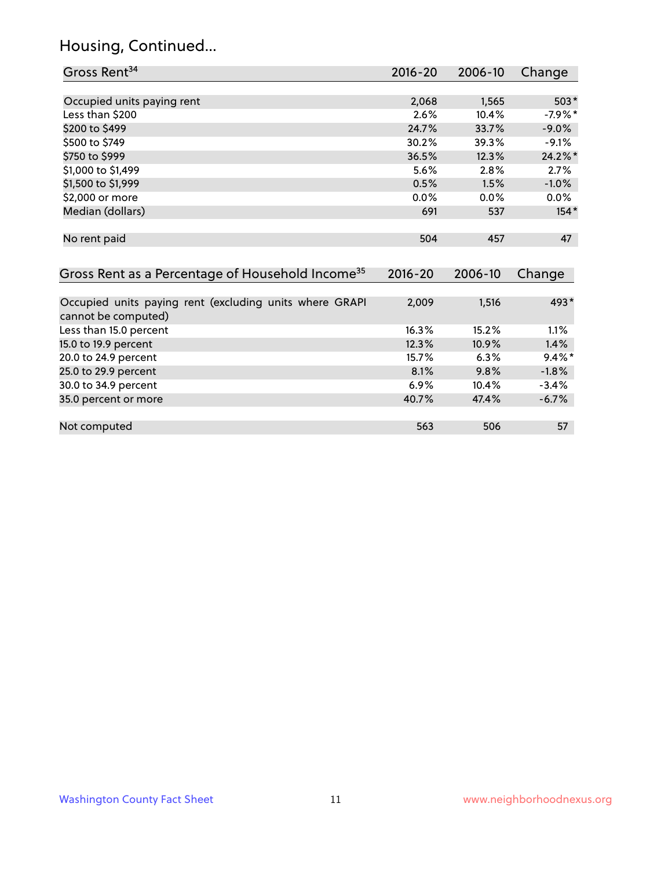#### Housing, Continued...

| Gross Rent <sup>34</sup>                                                       | 2016-20     | 2006-10 | Change     |
|--------------------------------------------------------------------------------|-------------|---------|------------|
|                                                                                |             |         |            |
| Occupied units paying rent                                                     | 2,068       | 1,565   | $503*$     |
| Less than \$200                                                                | 2.6%        | 10.4%   | $-7.9\%$ * |
| \$200 to \$499                                                                 | 24.7%       | 33.7%   | $-9.0\%$   |
| \$500 to \$749                                                                 | 30.2%       | 39.3%   | $-9.1\%$   |
| \$750 to \$999                                                                 | 36.5%       | 12.3%   | 24.2%*     |
| \$1,000 to \$1,499                                                             | 5.6%        | 2.8%    | 2.7%       |
| \$1,500 to \$1,999                                                             | 0.5%        | 1.5%    | $-1.0%$    |
| \$2,000 or more                                                                | $0.0\%$     | $0.0\%$ | $0.0\%$    |
| Median (dollars)                                                               | 691         | 537     | $154*$     |
| No rent paid                                                                   | 504         | 457     | 47         |
| Gross Rent as a Percentage of Household Income <sup>35</sup>                   | $2016 - 20$ | 2006-10 | Change     |
| Occupied units paying rent (excluding units where GRAPI<br>cannot be computed) | 2,009       | 1,516   | 493*       |
| Less than 15.0 percent                                                         | 16.3%       | 15.2%   | 1.1%       |
| 15.0 to 19.9 percent                                                           | 12.3%       | 10.9%   | 1.4%       |
| 20.0 to 24.9 percent                                                           | 15.7%       | 6.3%    | $9.4\%*$   |
| 25.0 to 29.9 percent                                                           | 8.1%        | 9.8%    | $-1.8%$    |
| 30.0 to 34.9 percent                                                           | 6.9%        | 10.4%   | $-3.4%$    |

| 35.0 percent or more | 40.7% | 47.4% | $-6.7\%$ |
|----------------------|-------|-------|----------|
|                      |       |       |          |
| Not computed         | 563   | 506   |          |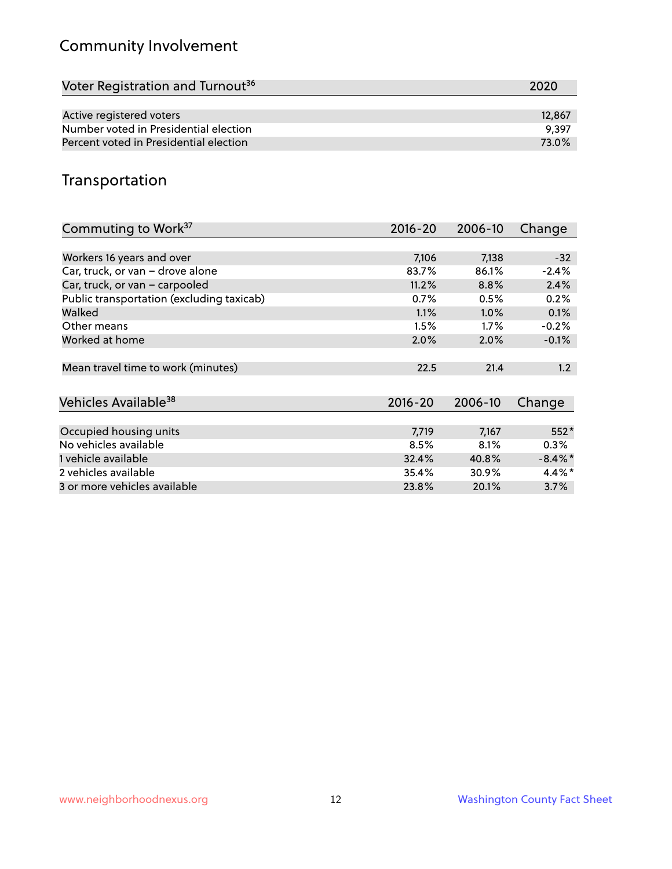# Community Involvement

| Voter Registration and Turnout <sup>36</sup> | 2020   |
|----------------------------------------------|--------|
|                                              |        |
| Active registered voters                     | 12,867 |
| Number voted in Presidential election        | 9.397  |
| Percent voted in Presidential election       | 73.0%  |

#### Transportation

| Commuting to Work <sup>37</sup>           | 2016-20     | 2006-10 | Change     |
|-------------------------------------------|-------------|---------|------------|
|                                           |             |         |            |
| Workers 16 years and over                 | 7,106       | 7,138   | $-32$      |
| Car, truck, or van - drove alone          | 83.7%       | 86.1%   | $-2.4%$    |
| Car, truck, or van - carpooled            | 11.2%       | 8.8%    | 2.4%       |
| Public transportation (excluding taxicab) | 0.7%        | 0.5%    | 0.2%       |
| Walked                                    | 1.1%        | $1.0\%$ | 0.1%       |
| Other means                               | 1.5%        | $1.7\%$ | $-0.2%$    |
| Worked at home                            | 2.0%        | 2.0%    | $-0.1%$    |
|                                           |             |         |            |
| Mean travel time to work (minutes)        | 22.5        | 21.4    | 1.2        |
|                                           |             |         |            |
| Vehicles Available <sup>38</sup>          | $2016 - 20$ | 2006-10 | Change     |
|                                           |             |         |            |
| Occupied housing units                    | 7,719       | 7,167   | $552*$     |
| No vehicles available                     | 8.5%        | 8.1%    | $0.3\%$    |
| 1 vehicle available                       | 32.4%       | 40.8%   | $-8.4\%$ * |
| 2 vehicles available                      | 35.4%       | 30.9%   | $4.4\%$ *  |
| 3 or more vehicles available              | 23.8%       | 20.1%   | 3.7%       |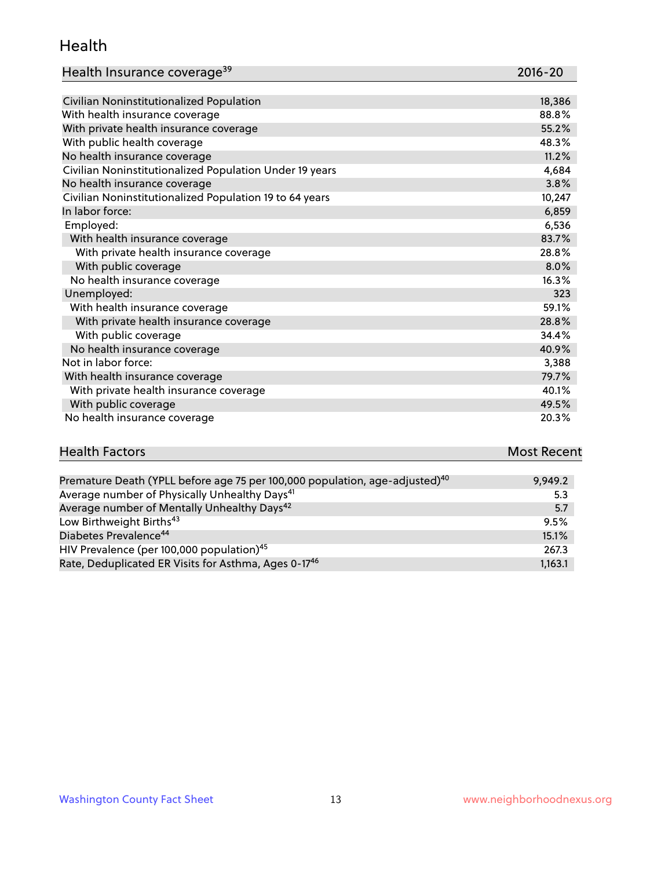#### Health

| Health Insurance coverage <sup>39</sup> | 2016-20 |
|-----------------------------------------|---------|
|-----------------------------------------|---------|

| Civilian Noninstitutionalized Population                | 18,386 |
|---------------------------------------------------------|--------|
| With health insurance coverage                          | 88.8%  |
| With private health insurance coverage                  | 55.2%  |
| With public health coverage                             | 48.3%  |
| No health insurance coverage                            | 11.2%  |
| Civilian Noninstitutionalized Population Under 19 years | 4,684  |
| No health insurance coverage                            | 3.8%   |
| Civilian Noninstitutionalized Population 19 to 64 years | 10,247 |
| In labor force:                                         | 6,859  |
| Employed:                                               | 6,536  |
| With health insurance coverage                          | 83.7%  |
| With private health insurance coverage                  | 28.8%  |
| With public coverage                                    | 8.0%   |
| No health insurance coverage                            | 16.3%  |
| Unemployed:                                             | 323    |
| With health insurance coverage                          | 59.1%  |
| With private health insurance coverage                  | 28.8%  |
| With public coverage                                    | 34.4%  |
| No health insurance coverage                            | 40.9%  |
| Not in labor force:                                     | 3,388  |
| With health insurance coverage                          | 79.7%  |
| With private health insurance coverage                  | 40.1%  |
| With public coverage                                    | 49.5%  |
| No health insurance coverage                            | 20.3%  |

#### **Health Factors Most Recent** Premature Death (YPLL before age 75 per 100,000 population, age-adjusted) $^{40}$  9,949.2

| Premature Death (TPLL before age 75 per 100,000 population, age-agjusted). | 9,949.Z |
|----------------------------------------------------------------------------|---------|
| Average number of Physically Unhealthy Days <sup>41</sup>                  | 5.3     |
| Average number of Mentally Unhealthy Days <sup>42</sup>                    | 5.7     |
| Low Birthweight Births <sup>43</sup>                                       | 9.5%    |
| Diabetes Prevalence <sup>44</sup>                                          | 15.1%   |
| HIV Prevalence (per 100,000 population) <sup>45</sup>                      | 267.3   |
| Rate, Deduplicated ER Visits for Asthma, Ages 0-17 <sup>46</sup>           | 1,163.1 |